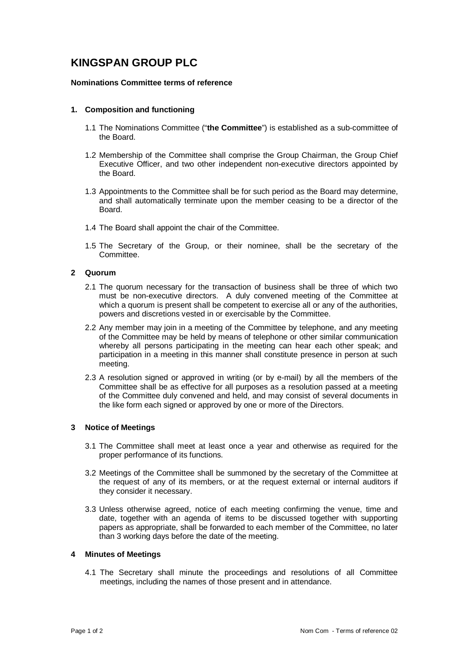# **KINGSPAN GROUP PLC**

# **Nominations Committee terms of reference**

# **1. Composition and functioning**

- 1.1 The Nominations Committee ("**the Committee**") is established as a sub-committee of the Board.
- 1.2 Membership of the Committee shall comprise the Group Chairman, the Group Chief Executive Officer, and two other independent non-executive directors appointed by the Board.
- 1.3 Appointments to the Committee shall be for such period as the Board may determine, and shall automatically terminate upon the member ceasing to be a director of the Board.
- 1.4 The Board shall appoint the chair of the Committee.
- 1.5 The Secretary of the Group, or their nominee, shall be the secretary of the Committee.

# **2 Quorum**

- 2.1 The quorum necessary for the transaction of business shall be three of which two must be non-executive directors. A duly convened meeting of the Committee at which a quorum is present shall be competent to exercise all or any of the authorities, powers and discretions vested in or exercisable by the Committee.
- 2.2 Any member may join in a meeting of the Committee by telephone, and any meeting of the Committee may be held by means of telephone or other similar communication whereby all persons participating in the meeting can hear each other speak; and participation in a meeting in this manner shall constitute presence in person at such meeting.
- 2.3 A resolution signed or approved in writing (or by e-mail) by all the members of the Committee shall be as effective for all purposes as a resolution passed at a meeting of the Committee duly convened and held, and may consist of several documents in the like form each signed or approved by one or more of the Directors.

#### **3 Notice of Meetings**

- 3.1 The Committee shall meet at least once a year and otherwise as required for the proper performance of its functions.
- 3.2 Meetings of the Committee shall be summoned by the secretary of the Committee at the request of any of its members, or at the request external or internal auditors if they consider it necessary.
- 3.3 Unless otherwise agreed, notice of each meeting confirming the venue, time and date, together with an agenda of items to be discussed together with supporting papers as appropriate, shall be forwarded to each member of the Committee, no later than 3 working days before the date of the meeting.

#### **4 Minutes of Meetings**

4.1 The Secretary shall minute the proceedings and resolutions of all Committee meetings, including the names of those present and in attendance.